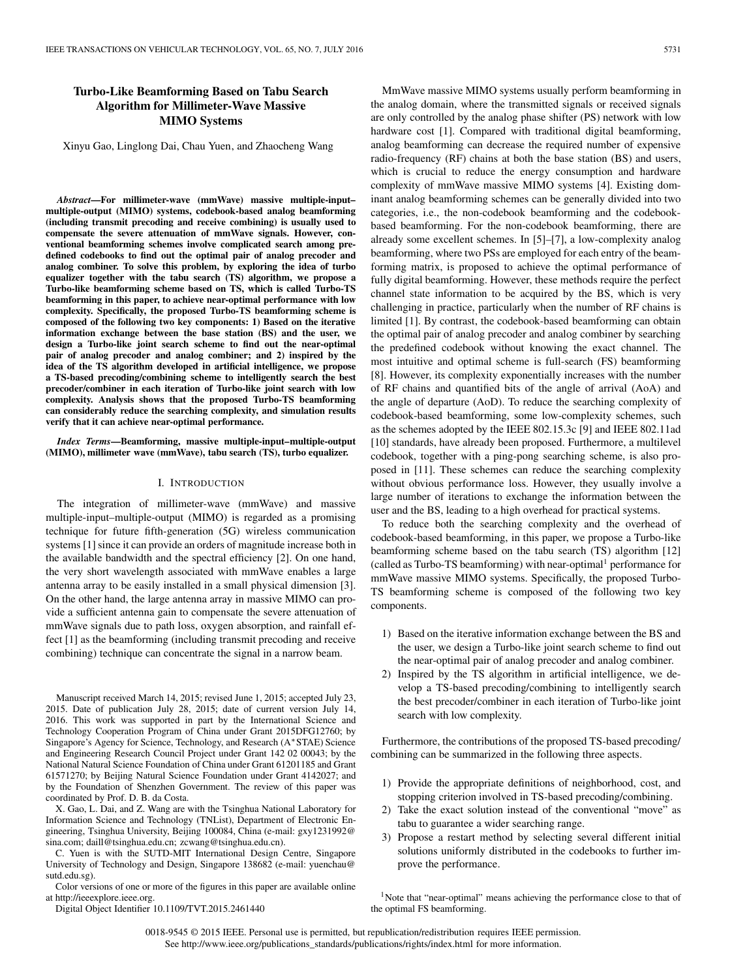# **Turbo-Like Beamforming Based on Tabu Search Algorithm for Millimeter-Wave Massive MIMO Systems**

Xinyu Gao, Linglong Dai, Chau Yuen, and Zhaocheng Wang

*Abstract***—For millimeter-wave (mmWave) massive multiple-input– multiple-output (MIMO) systems, codebook-based analog beamforming (including transmit precoding and receive combining) is usually used to compensate the severe attenuation of mmWave signals. However, conventional beamforming schemes involve complicated search among predefined codebooks to find out the optimal pair of analog precoder and analog combiner. To solve this problem, by exploring the idea of turbo equalizer together with the tabu search (TS) algorithm, we propose a Turbo-like beamforming scheme based on TS, which is called Turbo-TS beamforming in this paper, to achieve near-optimal performance with low complexity. Specifically, the proposed Turbo-TS beamforming scheme is composed of the following two key components: 1) Based on the iterative information exchange between the base station (BS) and the user, we design a Turbo-like joint search scheme to find out the near-optimal pair of analog precoder and analog combiner; and 2) inspired by the idea of the TS algorithm developed in artificial intelligence, we propose a TS-based precoding/combining scheme to intelligently search the best precoder/combiner in each iteration of Turbo-like joint search with low complexity. Analysis shows that the proposed Turbo-TS beamforming can considerably reduce the searching complexity, and simulation results verify that it can achieve near-optimal performance.**

*Index Terms***—Beamforming, massive multiple-input–multiple-output (MIMO), millimeter wave (mmWave), tabu search (TS), turbo equalizer.**

# I. INTRODUCTION

The integration of millimeter-wave (mmWave) and massive multiple-input–multiple-output (MIMO) is regarded as a promising technique for future fifth-generation (5G) wireless communication systems [1] since it can provide an orders of magnitude increase both in the available bandwidth and the spectral efficiency [2]. On one hand, the very short wavelength associated with mmWave enables a large antenna array to be easily installed in a small physical dimension [3]. On the other hand, the large antenna array in massive MIMO can provide a sufficient antenna gain to compensate the severe attenuation of mmWave signals due to path loss, oxygen absorption, and rainfall effect [1] as the beamforming (including transmit precoding and receive combining) technique can concentrate the signal in a narrow beam.

Manuscript received March 14, 2015; revised June 1, 2015; accepted July 23, 2015. Date of publication July 28, 2015; date of current version July 14, 2016. This work was supported in part by the International Science and Technology Cooperation Program of China under Grant 2015DFG12760; by Singapore's Agency for Science, Technology, and Research (A∗STAE) Science and Engineering Research Council Project under Grant 142 02 00043; by the National Natural Science Foundation of China under Grant 61201185 and Grant 61571270; by Beijing Natural Science Foundation under Grant 4142027; and by the Foundation of Shenzhen Government. The review of this paper was coordinated by Prof. D. B. da Costa.

X. Gao, L. Dai, and Z. Wang are with the Tsinghua National Laboratory for Information Science and Technology (TNList), Department of Electronic Engineering, Tsinghua University, Beijing 100084, China [\(e-mail: gxy1231992@](mailto: gxy1231992@sina.com) [sina.com; d](mailto: gxy1231992@sina.com)aill@tsinghua.edu.cn; zcwang@tsinghua.edu.cn).

C. Yuen is with the SUTD-MIT International Design Centre, Singapore University of Technology and Design, Singapore 138682 [\(e-mail: yuenchau@](mailto: yuenchau@sutd.edu.sg) [sutd.edu.sg\).](mailto: yuenchau@sutd.edu.sg)

Color versions of one or more of the figures in this paper are available online at http://ieeexplore.ieee.org.

Digital Object Identifier 10.1109/TVT.2015.2461440

MmWave massive MIMO systems usually perform beamforming in the analog domain, where the transmitted signals or received signals are only controlled by the analog phase shifter (PS) network with low hardware cost [1]. Compared with traditional digital beamforming, analog beamforming can decrease the required number of expensive radio-frequency (RF) chains at both the base station (BS) and users, which is crucial to reduce the energy consumption and hardware complexity of mmWave massive MIMO systems [4]. Existing dominant analog beamforming schemes can be generally divided into two categories, i.e., the non-codebook beamforming and the codebookbased beamforming. For the non-codebook beamforming, there are already some excellent schemes. In [5]–[7], a low-complexity analog beamforming, where two PSs are employed for each entry of the beamforming matrix, is proposed to achieve the optimal performance of fully digital beamforming. However, these methods require the perfect channel state information to be acquired by the BS, which is very challenging in practice, particularly when the number of RF chains is limited [1]. By contrast, the codebook-based beamforming can obtain the optimal pair of analog precoder and analog combiner by searching the predefined codebook without knowing the exact channel. The most intuitive and optimal scheme is full-search (FS) beamforming [8]. However, its complexity exponentially increases with the number of RF chains and quantified bits of the angle of arrival (AoA) and the angle of departure (AoD). To reduce the searching complexity of codebook-based beamforming, some low-complexity schemes, such as the schemes adopted by the IEEE 802.15.3c [9] and IEEE 802.11ad [10] standards, have already been proposed. Furthermore, a multilevel

codebook, together with a ping-pong searching scheme, is also proposed in [11]. These schemes can reduce the searching complexity without obvious performance loss. However, they usually involve a large number of iterations to exchange the information between the user and the BS, leading to a high overhead for practical systems.

To reduce both the searching complexity and the overhead of codebook-based beamforming, in this paper, we propose a Turbo-like beamforming scheme based on the tabu search (TS) algorithm [12] (called as Turbo-TS beamforming) with near-optimal<sup>[1](#page-0-0)</sup> performance for mmWave massive MIMO systems. Specifically, the proposed Turbo-TS beamforming scheme is composed of the following two key components.

- 1) Based on the iterative information exchange between the BS and the user, we design a Turbo-like joint search scheme to find out the near-optimal pair of analog precoder and analog combiner.
- 2) Inspired by the TS algorithm in artificial intelligence, we develop a TS-based precoding/combining to intelligently search the best precoder/combiner in each iteration of Turbo-like joint search with low complexity.

Furthermore, the contributions of the proposed TS-based precoding/ combining can be summarized in the following three aspects.

- 1) Provide the appropriate definitions of neighborhood, cost, and stopping criterion involved in TS-based precoding/combining.
- 2) Take the exact solution instead of the conventional "move" as tabu to guarantee a wider searching range.
- 3) Propose a restart method by selecting several different initial solutions uniformly distributed in the codebooks to further improve the performance.

<span id="page-0-0"></span><sup>1</sup>Note that "near-optimal" means achieving the performance close to that of the optimal FS beamforming.

0018-9545 © 2015 IEEE. Personal use is permitted, but republication/redistribution requires IEEE permission. See http://www.ieee.org/publications\_standards/publications/rights/index.html for more information.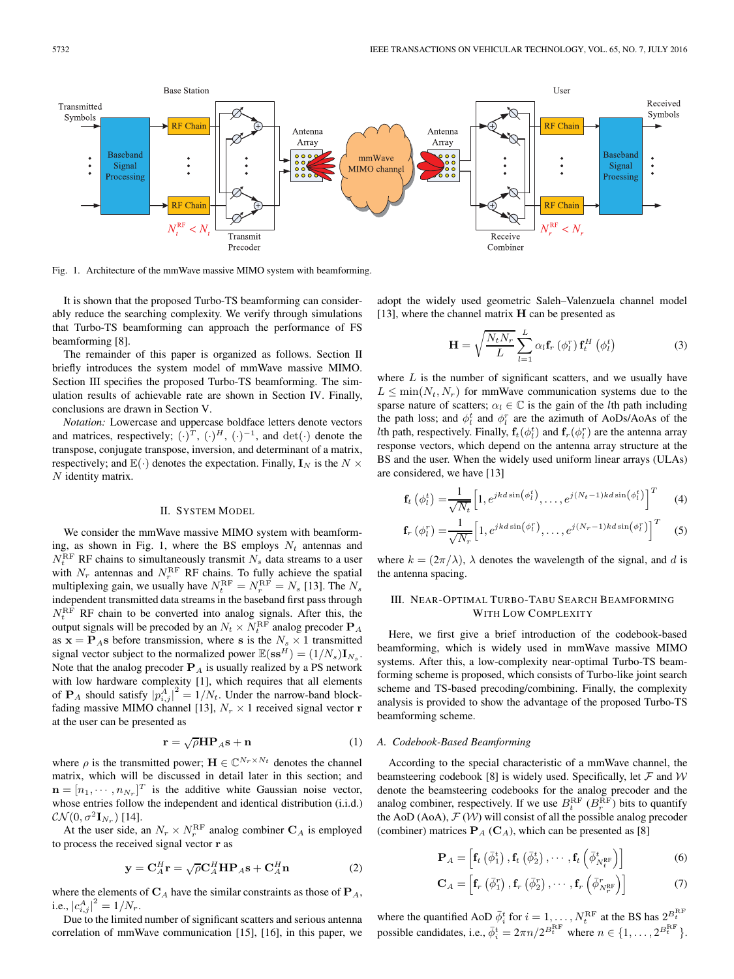

Fig. 1. Architecture of the mmWave massive MIMO system with beamforming.

It is shown that the proposed Turbo-TS beamforming can considerably reduce the searching complexity. We verify through simulations that Turbo-TS beamforming can approach the performance of FS beamforming [8].

The remainder of this paper is organized as follows. Section II briefly introduces the system model of mmWave massive MIMO. Section III specifies the proposed Turbo-TS beamforming. The simulation results of achievable rate are shown in Section IV. Finally, conclusions are drawn in Section V.

*Notation:* Lowercase and uppercase boldface letters denote vectors and matrices, respectively;  $(\cdot)^T$ ,  $(\cdot)^H$ ,  $(\cdot)^{-1}$ , and det $(\cdot)$  denote the transpose, conjugate transpose, inversion, and determinant of a matrix, respectively; and  $\mathbb{E}(\cdot)$  denotes the expectation. Finally,  $\mathbf{I}_N$  is the  $N \times$ N identity matrix.

#### II. SYSTEM MODEL

We consider the mmWave massive MIMO system with beamforming, as shown in Fig. 1, where the BS employs  $N_t$  antennas and  $N_t^{\text{RF}}$  RF chains to simultaneously transmit  $N_s$  data streams to a user with  $N_r$  antennas and  $N_r^{\text{RF}}$  RF chains. To fully achieve the spatial multiplexing gain, we usually have  $N_t^{\text{RF}} = N_r^{\text{RF}} = N_s$  [13]. The  $N_s$ independent transmitted data streams in the baseband first pass through  $N_t^{\text{RF}}$  RF chain to be converted into analog signals. After this, the output signals will be precoded by an  $N_t \times N_t^{\text{RF}}$  analog precoder  $\mathbf{P}_A$ as  $\mathbf{x} = \mathbf{P}_A \mathbf{s}$  before transmission, where **s** is the  $N_s \times 1$  transmitted signal vector subject to the normalized power  $\mathbb{E}(\mathbf{ss}^H)=(1/N_s)\mathbf{I}_{N_s}$ . Note that the analog precoder  $P_A$  is usually realized by a PS network with low hardware complexity [1], which requires that all elements of  $\mathbf{P}_A$  should satisfy  $|p_{i,j}^A|^2 = 1/N_t$ . Under the narrow-band blockfading massive MIMO channel [13],  $N_r \times 1$  received signal vector **r** at the user can be presented as

$$
\mathbf{r} = \sqrt{\rho} \mathbf{H} \mathbf{P}_A \mathbf{s} + \mathbf{n} \tag{1}
$$

where  $\rho$  is the transmitted power;  $\mathbf{H} \in \mathbb{C}^{N_r \times N_t}$  denotes the channel matrix, which will be discussed in detail later in this section; and  $\mathbf{n} = [n_1, \dots, n_{N_r}]^T$  is the additive white Gaussian noise vector, whose entries follow the independent and identical distribution (i.i.d.)  $\mathcal{CN}(0, \sigma^2 \mathbf{I}_{N_r})$  [14].

At the user side, an  $N_r \times N_r^{\text{RF}}$  analog combiner  $\mathbf{C}_A$  is employed to process the received signal vector **r** as

$$
\mathbf{y} = \mathbf{C}_A^H \mathbf{r} = \sqrt{\rho} \mathbf{C}_A^H \mathbf{H} \mathbf{P}_A \mathbf{s} + \mathbf{C}_A^H \mathbf{n}
$$
 (2)

where the elements of  $C_A$  have the similar constraints as those of  $P_A$ , i.e.,  $|c_{i,j}^A|^2 = 1/N_r$ .

Due to the limited number of significant scatters and serious antenna correlation of mmWave communication [15], [16], in this paper, we adopt the widely used geometric Saleh–Valenzuela channel model [13], where the channel matrix **H** can be presented as

$$
\mathbf{H} = \sqrt{\frac{N_t N_r}{L}} \sum_{l=1}^{L} \alpha_l \mathbf{f}_r \left( \phi_l^r \right) \mathbf{f}_t^H \left( \phi_l^t \right) \tag{3}
$$

where  $L$  is the number of significant scatters, and we usually have  $L \leq \min(N_t, N_r)$  for mmWave communication systems due to the sparse nature of scatters;  $\alpha_l \in \mathbb{C}$  is the gain of the *l*th path including the path loss; and  $\phi_l^t$  and  $\phi_l^r$  are the azimuth of AoDs/AoAs of the *lth* path, respectively. Finally,  $\mathbf{f}_t(\phi_t^t)$  and  $\mathbf{f}_r(\phi_t^r)$  are the antenna array response vectors, which depend on the antenna array structure at the BS and the user. When the widely used uniform linear arrays (ULAs) are considered, we have [13]

$$
\mathbf{f}_t\left(\phi_t^t\right) = \frac{1}{\sqrt{N_t}} \left[1, e^{jkd\sin\left(\phi_t^t\right)}, \dots, e^{j(N_t-1)kd\sin\left(\phi_t^t\right)}\right]^T \tag{4}
$$

$$
\mathbf{f}_r\left(\phi_l^r\right) = \frac{1}{\sqrt{N_r}} \Big[ 1, e^{jkd\sin\left(\phi_l^r\right)}, \dots, e^{j(N_r-1)kd\sin\left(\phi_l^r\right)} \Big]^T \quad (5)
$$

where  $k = (2\pi/\lambda)$ ,  $\lambda$  denotes the wavelength of the signal, and d is the antenna spacing.

# III. NEAR-OPTIMAL TURBO-TABU SEARCH BEAMFORMING WITH LOW COMPLEXITY

Here, we first give a brief introduction of the codebook-based beamforming, which is widely used in mmWave massive MIMO systems. After this, a low-complexity near-optimal Turbo-TS beamforming scheme is proposed, which consists of Turbo-like joint search scheme and TS-based precoding/combining. Finally, the complexity analysis is provided to show the advantage of the proposed Turbo-TS beamforming scheme.

# *A. Codebook-Based Beamforming*

According to the special characteristic of a mmWave channel, the beamsteering codebook [8] is widely used. Specifically, let  $\mathcal F$  and  $\mathcal W$ denote the beamsteering codebooks for the analog precoder and the analog combiner, respectively. If we use  $B_t^{\text{RF}}(B_r^{\text{RF}})$  bits to quantify the AoD (AoA),  $\mathcal{F}(\mathcal{W})$  will consist of all the possible analog precoder (combiner) matrices  $P_A$  ( $C_A$ ), which can be presented as [8]

$$
\mathbf{P}_A = \left[ \mathbf{f}_t \left( \bar{\phi}_1^t \right), \mathbf{f}_t \left( \bar{\phi}_2^t \right), \cdots, \mathbf{f}_t \left( \bar{\phi}_{N_t^{\text{RF}}}^t \right) \right]
$$
(6)

$$
\mathbf{C}_{A} = \left[ \mathbf{f}_{r} \left( \bar{\phi}_{1}^{r} \right), \mathbf{f}_{r} \left( \bar{\phi}_{2}^{r} \right), \cdots, \mathbf{f}_{r} \left( \bar{\phi}_{N_{r}^{\text{RF}}}^{r} \right) \right]
$$
(7)

where the quantified AoD  $\bar{\phi}_i^t$  for  $i = 1, \ldots, N_t^{\text{RF}}$  at the BS has  $2_{\text{max}}^{B_t^{\text{RF}}}$ possible candidates, i.e.,  $\overline{\phi}_i^t = 2\pi n/2^{B_t^{\text{RF}}}$  where  $n \in \{1, \ldots, 2^{B_t^{\text{RF}}}\}.$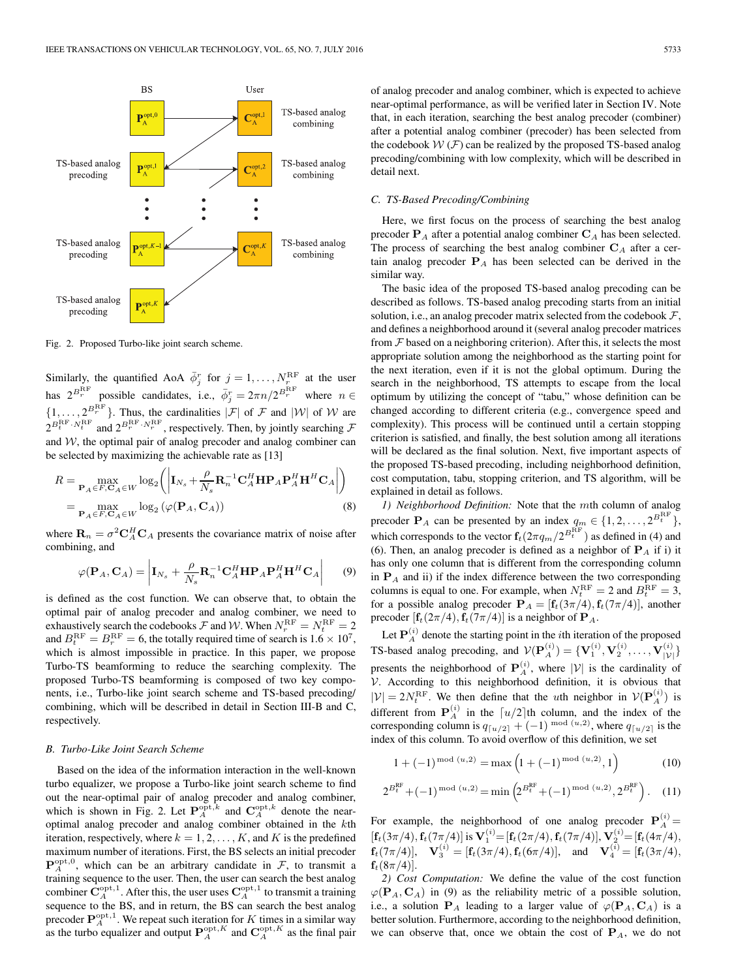

Fig. 2. Proposed Turbo-like joint search scheme.

Similarly, the quantified AoA  $\bar{\phi}_j^r$  for  $j = 1, \ldots, N_r^{\text{RF}}$  at the user has  $2^{B_r^{\text{RF}}}$  possible candidates, i.e.,  $\bar{\phi}_j^r = 2\pi n/2^{B_r^{\text{RF}}}$  where  $n \in$  $\{1,\ldots,2^{B_r^{\text{RF}}}\}\.$  Thus, the cardinalities  $|\mathcal{F}|$  of  $\mathcal F$  and  $|\mathcal{W}|$  of  $\mathcal W$  are  $2^{B_t^{\text{RF}} \cdot N_t^{\text{RF}}}$  and  $2^{B_r^{\text{RF}} \cdot N_r^{\text{RF}}}$ , respectively. Then, by jointly searching  $\mathcal F$ and W, the optimal pair of analog precoder and analog combiner can be selected by maximizing the achievable rate as [13]

$$
R = \max_{\mathbf{P}_A \in F, \mathbf{C}_A \in W} \log_2 \left( \left| \mathbf{I}_{N_s} + \frac{\rho}{N_s} \mathbf{R}_n^{-1} \mathbf{C}_A^H \mathbf{H} \mathbf{P}_A \mathbf{P}_A^H \mathbf{H}^H \mathbf{C}_A \right| \right)
$$
  
= 
$$
\max_{\mathbf{P}_A \in F, \mathbf{C}_A \in W} \log_2 \left( \varphi(\mathbf{P}_A, \mathbf{C}_A) \right)
$$
(8)

where  $\mathbf{R}_n = \sigma^2 \mathbf{C}_A^H \mathbf{C}_A$  presents the covariance matrix of noise after combining, and

$$
\varphi(\mathbf{P}_A, \mathbf{C}_A) = \left| \mathbf{I}_{N_s} + \frac{\rho}{N_s} \mathbf{R}_n^{-1} \mathbf{C}_A^H \mathbf{H} \mathbf{P}_A \mathbf{P}_A^H \mathbf{H}^H \mathbf{C}_A \right| \tag{9}
$$

is defined as the cost function. We can observe that, to obtain the optimal pair of analog precoder and analog combiner, we need to exhaustively search the codebooks  $\mathcal F$  and  $\mathcal W$ . When  $N_r^{\text{RF}} = N_t^{\text{RF}} = 2$ and  $B_t^{\text{RF}} = B_r^{\text{RF}} = 6$ , the totally required time of search is  $1.6 \times 10^7$ , which is almost impossible in practice. In this paper, we propose Turbo-TS beamforming to reduce the searching complexity. The proposed Turbo-TS beamforming is composed of two key components, i.e., Turbo-like joint search scheme and TS-based precoding/ combining, which will be described in detail in Section III-B and C, respectively.

#### *B. Turbo-Like Joint Search Scheme*

Based on the idea of the information interaction in the well-known turbo equalizer, we propose a Turbo-like joint search scheme to find out the near-optimal pair of analog precoder and analog combiner, which is shown in Fig. 2. Let  $\mathbf{P}_A^{\text{opt},k}$  and  $\mathbf{C}_A^{\text{opt},k}$  denote the nearoptimal analog precoder and analog combiner obtained in the kth iteration, respectively, where  $k = 1, 2, ..., K$ , and K is the predefined maximum number of iterations. First, the BS selects an initial precoder  $\mathbf{P}_A^{\text{opt,0}}$ , which can be an arbitrary candidate in  $\mathcal{F}$ , to transmit a training sequence to the user. Then, the user can search the best analog combiner  $C_A^{\text{opt,1}}$ . After this, the user uses  $C_A^{\text{opt,1}}$  to transmit a training sequence to the BS, and in return, the BS can search the best analog precoder  $P_A^{\text{opt,1}}$ . We repeat such iteration for K times in a similar way as the turbo equalizer and output  $P_A^{\text{opt},K}$  and  $C_A^{\text{opt},K}$  as the final pair

of analog precoder and analog combiner, which is expected to achieve near-optimal performance, as will be verified later in Section IV. Note that, in each iteration, searching the best analog precoder (combiner) after a potential analog combiner (precoder) has been selected from the codebook  $W(\mathcal{F})$  can be realized by the proposed TS-based analog precoding/combining with low complexity, which will be described in detail next.

## *C. TS-Based Precoding/Combining*

Here, we first focus on the process of searching the best analog precoder  $P_A$  after a potential analog combiner  $C_A$  has been selected. The process of searching the best analog combiner  $C_A$  after a certain analog precoder  $P_A$  has been selected can be derived in the similar way.

The basic idea of the proposed TS-based analog precoding can be described as follows. TS-based analog precoding starts from an initial solution, i.e., an analog precoder matrix selected from the codebook  $\mathcal{F}$ , and defines a neighborhood around it (several analog precoder matrices from  $F$  based on a neighboring criterion). After this, it selects the most appropriate solution among the neighborhood as the starting point for the next iteration, even if it is not the global optimum. During the search in the neighborhood, TS attempts to escape from the local optimum by utilizing the concept of "tabu," whose definition can be changed according to different criteria (e.g., convergence speed and complexity). This process will be continued until a certain stopping criterion is satisfied, and finally, the best solution among all iterations will be declared as the final solution. Next, five important aspects of the proposed TS-based precoding, including neighborhood definition, cost computation, tabu, stopping criterion, and TS algorithm, will be explained in detail as follows.

*1) Neighborhood Definition:* Note that the mth column of analog precoder  $P_A$  can be presented by an index  $q_m \in \{1, 2, ..., 2^{B_t^{RF}}\},$ which corresponds to the vector  $\mathbf{f}_t(2\pi q_m/2^{B_t^{\text{RF}}})$  as defined in (4) and (6). Then, an analog precoder is defined as a neighbor of  $P_A$  if i) it has only one column that is different from the corresponding column in  $P_A$  and ii) if the index difference between the two corresponding columns is equal to one. For example, when  $N_t^{\text{RF}} = 2$  and  $B_t^{\text{RF}} = 3$ , for a possible analog precoder  $P_A = [f_t(3\pi/4), f_t(7\pi/4)]$ , another precoder  $[\mathbf{f}_t(2\pi/4), \mathbf{f}_t(7\pi/4)]$  is a neighbor of  $\mathbf{P}_A$ .

Let  $P_A^{(i)}$  denote the starting point in the *i*th iteration of the proposed TS-based analog precoding, and  $\mathcal{V}(\mathbf{P}_A^{(i)}) = {\{\mathbf{V}_1^{(i)}, \mathbf{V}_2^{(i)}, \dots, \mathbf{V}_{|\mathcal{V}|}^{(i)}\}}$ presents the neighborhood of  $P_A^{(i)}$ , where  $|V|$  is the cardinality of V. According to this neighborhood definition, it is obvious that  $|\mathcal{V}| = 2N_t^{\text{RF}}$ . We then define that the *u*th neighbor in  $\mathcal{V}(\mathbf{P}_A^{(i)})$  is different from  $P_A^{(i)}$  in the  $\lceil u/2 \rceil$ th column, and the index of the corresponding column is  $q_{\lceil u/2 \rceil} + (-1)^{\bmod (u,2)}$ , where  $q_{\lceil u/2 \rceil}$  is the index of this column. To avoid overflow of this definition, we set

$$
1 + (-1)^{\text{mod } (u,2)} = \max\left(1 + (-1)^{\text{mod } (u,2)}, 1\right) \tag{10}
$$

$$
2^{B_t^{\rm RF}} + (-1)^{\rm mod\ (u,2)} = \min\left(2^{B_t^{\rm RF}} + (-1)^{\rm mod\ (u,2)}, 2^{B_t^{\rm RF}}\right). \tag{11}
$$

For example, the neighborhood of one analog precoder  $P_A^{(i)} =$  $[\mathbf{f}_t(3\pi/4), \mathbf{f}_t(7\pi/4)]$  is  $\mathbf{V}_1^{(i)} = [\mathbf{f}_t(2\pi/4), \mathbf{f}_t(7\pi/4)], \mathbf{V}_2^{(i)} = [\mathbf{f}_t(4\pi/4),$ **f**<sub>t</sub>(7 $\pi$ /4)], **V**<sub>3</sub><sup>(i)</sup> = [**f**<sub>t</sub>(3 $\pi$ /4), **f**<sub>t</sub>(6 $\pi$ /4)], and **V**<sub>4</sub><sup>(i)</sup> = [**f**<sub>t</sub>(3 $\pi$ /4),  $f_t(8\pi/4)$ .

*2) Cost Computation:* We define the value of the cost function  $\varphi(\mathbf{P}_A, \mathbf{C}_A)$  in (9) as the reliability metric of a possible solution, i.e., a solution  $P_A$  leading to a larger value of  $\varphi(P_A, C_A)$  is a better solution. Furthermore, according to the neighborhood definition, we can observe that, once we obtain the cost of  $P_A$ , we do not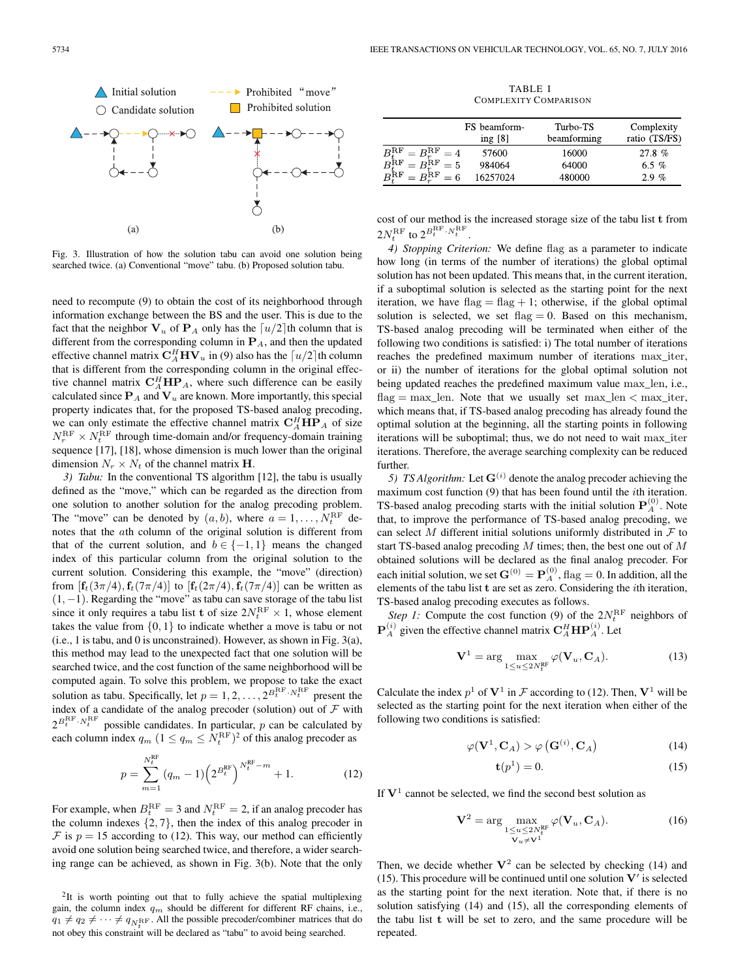

Fig. 3. Illustration of how the solution tabu can avoid one solution being searched twice. (a) Conventional "move" tabu. (b) Proposed solution tabu.

need to recompute (9) to obtain the cost of its neighborhood through information exchange between the BS and the user. This is due to the fact that the neighbor  $V_u$  of  $P_A$  only has the  $\lceil u/2 \rceil$ th column that is different from the corresponding column in  $P_A$ , and then the updated effective channel matrix  $C_A^H H V_u$  in (9) also has the  $\lceil u/2 \rceil$ th column that is different from the corresponding column in the original effective channel matrix  $C_A^H H P_A$ , where such difference can be easily calculated since  $P_A$  and  $V_u$  are known. More importantly, this special property indicates that, for the proposed TS-based analog precoding, we can only estimate the effective channel matrix  $C_A^H H P_A$  of size  $N_r^{\text{RF}} \times N_t^{\text{RF}}$  through time-domain and/or frequency-domain training sequence [17], [18], whose dimension is much lower than the original dimension  $N_r \times N_t$  of the channel matrix **H**.

*3) Tabu:* In the conventional TS algorithm [12], the tabu is usually defined as the "move," which can be regarded as the direction from one solution to another solution for the analog precoding problem. The "move" can be denoted by  $(a, b)$ , where  $a = 1, \ldots, N_t^{\text{RF}}$  denotes that the ath column of the original solution is different from that of the current solution, and  $b \in \{-1, 1\}$  means the changed index of this particular column from the original solution to the current solution. Considering this example, the "move" (direction) from  $[{\bf f}_t(3\pi/4), {\bf f}_t(7\pi/4)]$  to  $[{\bf f}_t(2\pi/4), {\bf f}_t(7\pi/4)]$  can be written as  $(1, -1)$ . Regarding the "move" as tabu can save storage of the tabu list since it only requires a tabu list **t** of size  $2N_t^{\text{RF}} \times 1$ , whose element takes the value from  $\{0, 1\}$  to indicate whether a move is tabu or not (i.e., 1 is tabu, and 0 is unconstrained). However, as shown in Fig. 3(a), this method may lead to the unexpected fact that one solution will be searched twice, and the cost function of the same neighborhood will be computed again. To solve this problem, we propose to take the exact solution as tabu. Specifically, let  $p = 1, 2, ..., 2^{B_t^{\text{RF}} \cdot N_t^{\text{RF}}}$  present the index of a candidate of the analog precoder (solution) out of  $F$  with  $2^{B_t^{\text{RF}} \cdot N_t^{\text{RF}}}$  possible candidates. In particular, p can be calculated by each column index  $q_m$   $(1 \leq q_m \leq N_t^{\text{RF}})^2$  $(1 \leq q_m \leq N_t^{\text{RF}})^2$  of this analog precoder as

$$
p = \sum_{m=1}^{N_t^{\text{RF}}} (q_m - 1) \left( 2^{B_t^{\text{RF}}} \right)^{N_t^{\text{RF}} - m} + 1.
$$
 (12)

For example, when  $B_t^{\text{RF}} = 3$  and  $N_t^{\text{RF}} = 2$ , if an analog precoder has the column indexes  $\{2, 7\}$ , then the index of this analog precoder in  $\mathcal F$  is  $p = 15$  according to (12). This way, our method can efficiently avoid one solution being searched twice, and therefore, a wider searching range can be achieved, as shown in Fig. 3(b). Note that the only

TABLE I COMPLEXITY COMPARISON

|                                                                                                                      | FS beamform-<br>ing $[8]$ | Turbo-TS<br>beamforming | Complexity<br>ratio (TS/FS) |
|----------------------------------------------------------------------------------------------------------------------|---------------------------|-------------------------|-----------------------------|
|                                                                                                                      | 57600                     | 16000                   | 27.8%                       |
| $\begin{array}{l} B_{t}^{\mathrm{RF}}=B_{r}^{\mathrm{RF}}=4\\ B_{t}^{\mathrm{RF}}=B_{r}^{\mathrm{RF}}=5 \end{array}$ | 984064                    | 64000                   | 6.5 $%$                     |
| $B^{\text{RF}} = B^{\text{RF}}_{n} = 6$                                                                              | 16257024                  | 480000                  | $2.9\%$                     |

cost of our method is the increased storage size of the tabu list **t** from  $2N_t^{\text{RF}}$  to  $2^{B_t^{\text{RF}} \cdot N_t^{\text{RF}}}$ .

*4) Stopping Criterion:* We define flag as a parameter to indicate how long (in terms of the number of iterations) the global optimal solution has not been updated. This means that, in the current iteration, if a suboptimal solution is selected as the starting point for the next iteration, we have  $flag = flag + 1$ ; otherwise, if the global optimal solution is selected, we set flag  $= 0$ . Based on this mechanism, TS-based analog precoding will be terminated when either of the following two conditions is satisfied: i) The total number of iterations reaches the predefined maximum number of iterations max\_iter, or ii) the number of iterations for the global optimal solution not being updated reaches the predefined maximum value max\_len, i.e.,  $flag = max_{en}$ . Note that we usually set  $max_{en}$  len  $\lt$  max\_iter, which means that, if TS-based analog precoding has already found the optimal solution at the beginning, all the starting points in following iterations will be suboptimal; thus, we do not need to wait max\_iter iterations. Therefore, the average searching complexity can be reduced further.

*5) TS Algorithm:* Let  $\mathbf{G}^{(i)}$  denote the analog precoder achieving the maximum cost function (9) that has been found until the *i*th iteration. TS-based analog precoding starts with the initial solution  $P_A^{(0)}$ . Note that, to improve the performance of TS-based analog precoding, we can select M different initial solutions uniformly distributed in  $\mathcal F$  to start TS-based analog precoding  $M$  times; then, the best one out of  $M$ obtained solutions will be declared as the final analog precoder. For each initial solution, we set  $\mathbf{G}^{(0)} = \mathbf{P}^{(0)}_A$ , flag  $= 0$ . In addition, all the elements of the tabu list **t** are set as zero. Considering the ith iteration, TS-based analog precoding executes as follows.

*Step 1:* Compute the cost function (9) of the  $2N_t^{\text{RF}}$  neighbors of  $\mathbf{P}_{A}^{(i)}$  given the effective channel matrix  $\mathbf{C}_{A}^{H} \mathbf{H} \mathbf{P}_{A}^{(i)}$ . Let

$$
\mathbf{V}^1 = \arg\max_{1 \le u \le 2N_t^{\text{RF}}} \varphi(\mathbf{V}_u, \mathbf{C}_A). \tag{13}
$$

Calculate the index  $p^1$  of  $V^1$  in  $\mathcal F$  according to (12). Then,  $V^1$  will be selected as the starting point for the next iteration when either of the following two conditions is satisfied:

$$
\varphi(\mathbf{V}^1, \mathbf{C}_A) > \varphi(\mathbf{G}^{(i)}, \mathbf{C}_A) \tag{14}
$$

$$
\mathbf{t}(p^1) = 0.\tag{15}
$$

If  $V<sup>1</sup>$  cannot be selected, we find the second best solution as

$$
\mathbf{V}^2 = \arg\max_{\substack{1 \le u \le 2N_t^{\text{RF}} \\ \mathbf{V}_u \neq \mathbf{V}^1}} \varphi(\mathbf{V}_u, \mathbf{C}_A). \tag{16}
$$

Then, we decide whether  $V^2$  can be selected by checking (14) and (15). This procedure will be continued until one solution  $V'$  is selected as the starting point for the next iteration. Note that, if there is no solution satisfying (14) and (15), all the corresponding elements of the tabu list **t** will be set to zero, and the same procedure will be repeated.

<span id="page-3-0"></span><sup>&</sup>lt;sup>2</sup>It is worth pointing out that to fully achieve the spatial multiplexing gain, the column index  $q_m$  should be different for different RF chains, i.e.,  $q_1 \neq q_2 \neq \cdots \neq q_{N_t^{\text{RF}}}$ . All the possible precoder/combiner matrices that do not obey this constraint will be declared as "tabu" to avoid being searched.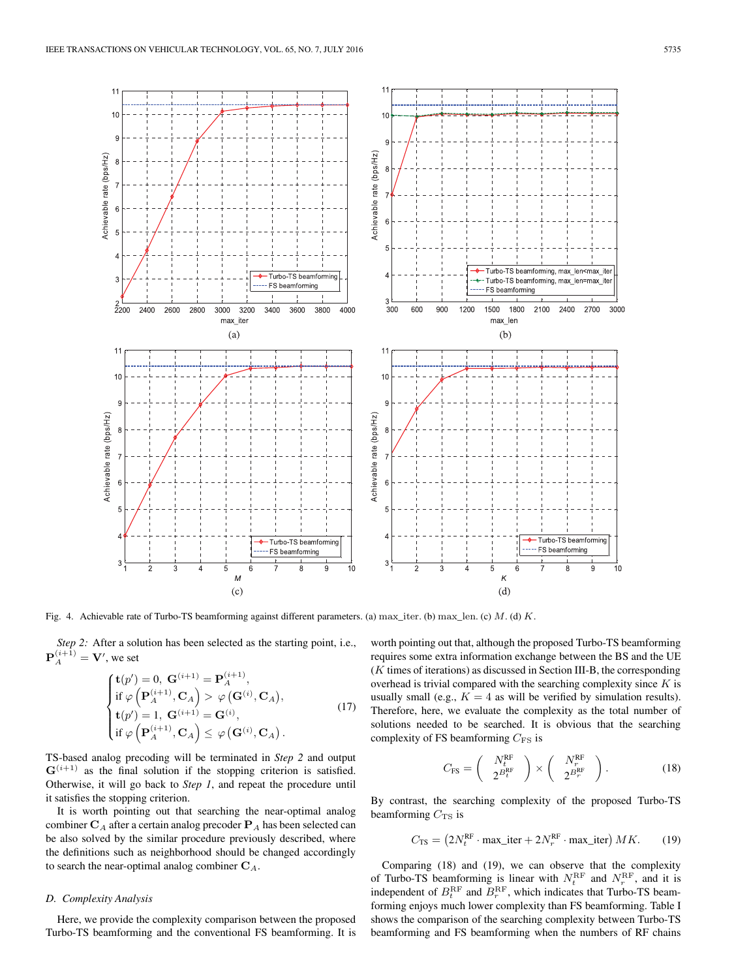

Fig. 4. Achievable rate of Turbo-TS beamforming against different parameters. (a) max\_iter. (b) max\_len. (c) M. (d) K.

*Step 2:* After a solution has been selected as the starting point, i.e.,  $\mathbf{P}_A^{(i+1)} = \mathbf{V}'$ , we set

$$
\begin{cases}\n\mathbf{t}(p') = 0, \mathbf{G}^{(i+1)} = \mathbf{P}_A^{(i+1)}, \n\text{if } \varphi\left(\mathbf{P}_A^{(i+1)}, \mathbf{C}_A\right) > \varphi\left(\mathbf{G}^{(i)}, \mathbf{C}_A\right), \n\mathbf{t}(p') = 1, \mathbf{G}^{(i+1)} = \mathbf{G}^{(i)}, \n\text{if } \varphi\left(\mathbf{P}_A^{(i+1)}, \mathbf{C}_A\right) \leq \varphi\left(\mathbf{G}^{(i)}, \mathbf{C}_A\right). \n\end{cases} \tag{17}
$$

TS-based analog precoding will be terminated in *Step 2* and output  $\mathbf{G}^{(i+1)}$  as the final solution if the stopping criterion is satisfied. Otherwise, it will go back to *Step 1*, and repeat the procedure until it satisfies the stopping criterion.

It is worth pointing out that searching the near-optimal analog combiner  $C_A$  after a certain analog precoder  $P_A$  has been selected can be also solved by the similar procedure previously described, where the definitions such as neighborhood should be changed accordingly to search the near-optimal analog combiner  $C_A$ .

## *D. Complexity Analysis*

Here, we provide the complexity comparison between the proposed Turbo-TS beamforming and the conventional FS beamforming. It is

worth pointing out that, although the proposed Turbo-TS beamforming requires some extra information exchange between the BS and the UE (K times of iterations) as discussed in Section III-B, the corresponding overhead is trivial compared with the searching complexity since  $K$  is usually small (e.g.,  $K = 4$  as will be verified by simulation results). Therefore, here, we evaluate the complexity as the total number of solutions needed to be searched. It is obvious that the searching complexity of FS beamforming  $C_{\text{FS}}$  is

$$
C_{\rm FS} = \left(\begin{array}{c} N_t^{\rm RF} \\ 2^{B_t^{\rm RF}} \end{array}\right) \times \left(\begin{array}{c} N_r^{\rm RF} \\ 2^{B_r^{\rm RF}} \end{array}\right). \tag{18}
$$

By contrast, the searching complexity of the proposed Turbo-TS beamforming  $C_{\text{TS}}$  is

$$
C_{\rm TS} = \left(2N_t^{\rm RF} \cdot \max_{t} \text{iter} + 2N_r^{\rm RF} \cdot \max_{t} \text{iter}\right) MK. \tag{19}
$$

Comparing (18) and (19), we can observe that the complexity of Turbo-TS beamforming is linear with  $N_t^{\text{RF}}$  and  $N_r^{\text{RF}}$ , and it is independent of  $B_t^{\text{RF}}$  and  $B_r^{\text{RF}}$ , which indicates that Turbo-TS beamforming enjoys much lower complexity than FS beamforming. Table I shows the comparison of the searching complexity between Turbo-TS beamforming and FS beamforming when the numbers of RF chains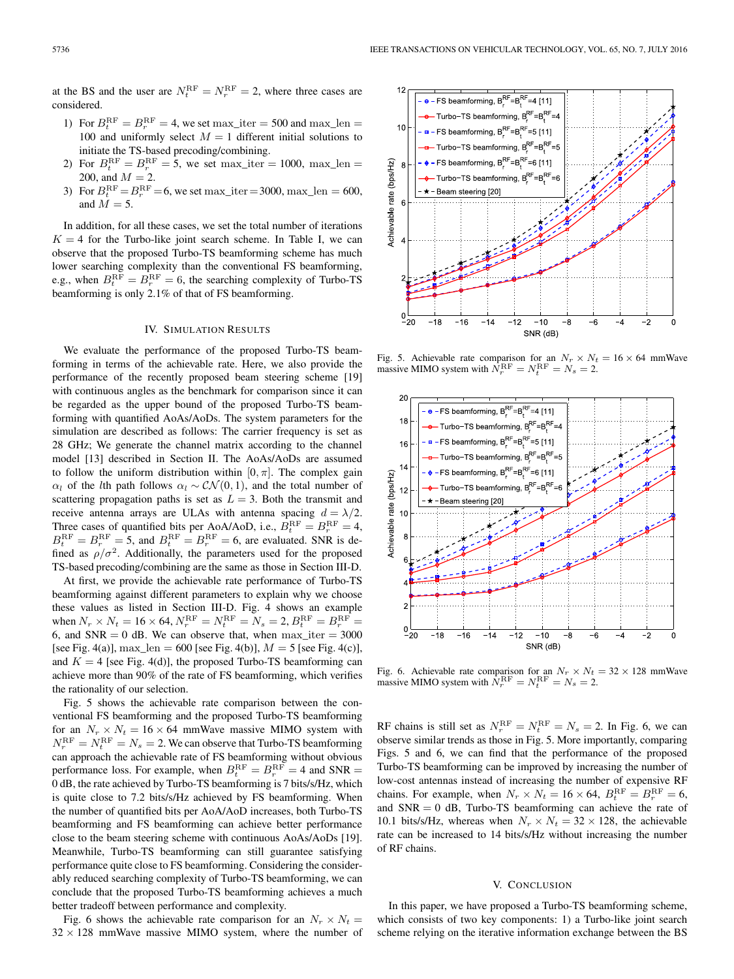at the BS and the user are  $N_t^{\text{RF}} = N_r^{\text{RF}} = 2$ , where three cases are considered.

- 1) For  $B_t^{\text{RF}} = B_r^{\text{RF}} = 4$ , we set max\_iter = 500 and max\_len = 100 and uniformly select  $M = 1$  different initial solutions to initiate the TS-based precoding/combining.
- 2) For  $B_t^{\text{RF}} = B_r^{\text{RF}} = 5$ , we set max\_iter = 1000, max\_len = 200, and  $M = 2$ .
- 3) For  $B_t^{\text{RF}} = B_r^{\text{RF}} = 6$ , we set max\_iter = 3000, max\_len = 600, and  $M = 5$ .

In addition, for all these cases, we set the total number of iterations  $K = 4$  for the Turbo-like joint search scheme. In Table I, we can observe that the proposed Turbo-TS beamforming scheme has much lower searching complexity than the conventional FS beamforming, e.g., when  $B_t^{\text{RF}} = B_r^{\text{RF}} = 6$ , the searching complexity of Turbo-TS beamforming is only 2.1% of that of FS beamforming.

### IV. SIMULATION RESULTS

We evaluate the performance of the proposed Turbo-TS beamforming in terms of the achievable rate. Here, we also provide the performance of the recently proposed beam steering scheme [19] with continuous angles as the benchmark for comparison since it can be regarded as the upper bound of the proposed Turbo-TS beamforming with quantified AoAs/AoDs. The system parameters for the simulation are described as follows: The carrier frequency is set as 28 GHz; We generate the channel matrix according to the channel model [13] described in Section II. The AoAs/AoDs are assumed to follow the uniform distribution within  $[0, \pi]$ . The complex gain  $\alpha_l$  of the lth path follows  $\alpha_l \sim \mathcal{CN}(0, 1)$ , and the total number of scattering propagation paths is set as  $L = 3$ . Both the transmit and receive antenna arrays are ULAs with antenna spacing  $d = \lambda/2$ . Three cases of quantified bits per AoA/AoD, i.e.,  $B_t^{\text{RF}} = B_r^{\text{RF}} = 4$ ,  $B_t^{\text{RF}} = B_r^{\text{RF}} = 5$ , and  $B_t^{\text{RF}} = B_r^{\text{RF}} = 6$ , are evaluated. SNR is defined as  $\rho/\sigma^2$ . Additionally, the parameters used for the proposed TS-based precoding/combining are the same as those in Section III-D.

At first, we provide the achievable rate performance of Turbo-TS beamforming against different parameters to explain why we choose these values as listed in Section III-D. Fig. 4 shows an example when  $N_r \times N_t = 16 \times 64$ ,  $N_r^{\text{RF}} = N_t^{\text{RF}} = N_s = 2$ ,  $B_t^{\text{RF}} = B_r^{\text{RF}} = 1$ 6, and  $SNR = 0$  dB. We can observe that, when  $max\_iter = 3000$ [see Fig. 4(a)], max\_len = 600 [see Fig. 4(b)],  $M = 5$  [see Fig. 4(c)], and  $K = 4$  [see Fig. 4(d)], the proposed Turbo-TS beamforming can achieve more than 90% of the rate of FS beamforming, which verifies the rationality of our selection.

Fig. 5 shows the achievable rate comparison between the conventional FS beamforming and the proposed Turbo-TS beamforming for an  $N_r \times N_t = 16 \times 64$  mmWave massive MIMO system with  $N_r^{\text{RF}} = N_t^{\text{RF}} = N_s = 2$ . We can observe that Turbo-TS beamforming can approach the achievable rate of FS beamforming without obvious performance loss. For example, when  $B_t^{\text{RF}} = B_r^{\text{RF}} = 4$  and SNR = 0 dB, the rate achieved by Turbo-TS beamforming is 7 bits/s/Hz, which is quite close to 7.2 bits/s/Hz achieved by FS beamforming. When the number of quantified bits per AoA/AoD increases, both Turbo-TS beamforming and FS beamforming can achieve better performance close to the beam steering scheme with continuous AoAs/AoDs [19]. Meanwhile, Turbo-TS beamforming can still guarantee satisfying performance quite close to FS beamforming. Considering the considerably reduced searching complexity of Turbo-TS beamforming, we can conclude that the proposed Turbo-TS beamforming achieves a much better tradeoff between performance and complexity.

Fig. 6 shows the achievable rate comparison for an  $N_r \times N_t =$  $32 \times 128$  mmWave massive MIMO system, where the number of



Fig. 5. Achievable rate comparison for an  $N_r \times N_t = 16 \times 64$  mmWave massive MIMO system with  $\hat{N}_r^{\text{RF}} = N_t^{\text{RF}} = N_s = 2$ .



Fig. 6. Achievable rate comparison for an  $N_r \times N_t = 32 \times 128$  mmWave massive MIMO system with  $N_r^{\text{RF}} = N_t^{\text{RF}} = N_s = 2$ .

RF chains is still set as  $N_r^{\text{RF}} = N_t^{\text{RF}} = N_s = 2$ . In Fig. 6, we can observe similar trends as those in Fig. 5. More importantly, comparing Figs. 5 and 6, we can find that the performance of the proposed Turbo-TS beamforming can be improved by increasing the number of low-cost antennas instead of increasing the number of expensive RF chains. For example, when  $N_r \times N_t = 16 \times 64$ ,  $B_t^{\text{RF}} = B_r^{\text{RF}} = 6$ , and  $SNR = 0$  dB, Turbo-TS beamforming can achieve the rate of 10.1 bits/s/Hz, whereas when  $N_r \times N_t = 32 \times 128$ , the achievable rate can be increased to 14 bits/s/Hz without increasing the number of RF chains.

#### V. CONCLUSION

In this paper, we have proposed a Turbo-TS beamforming scheme, which consists of two key components: 1) a Turbo-like joint search scheme relying on the iterative information exchange between the BS